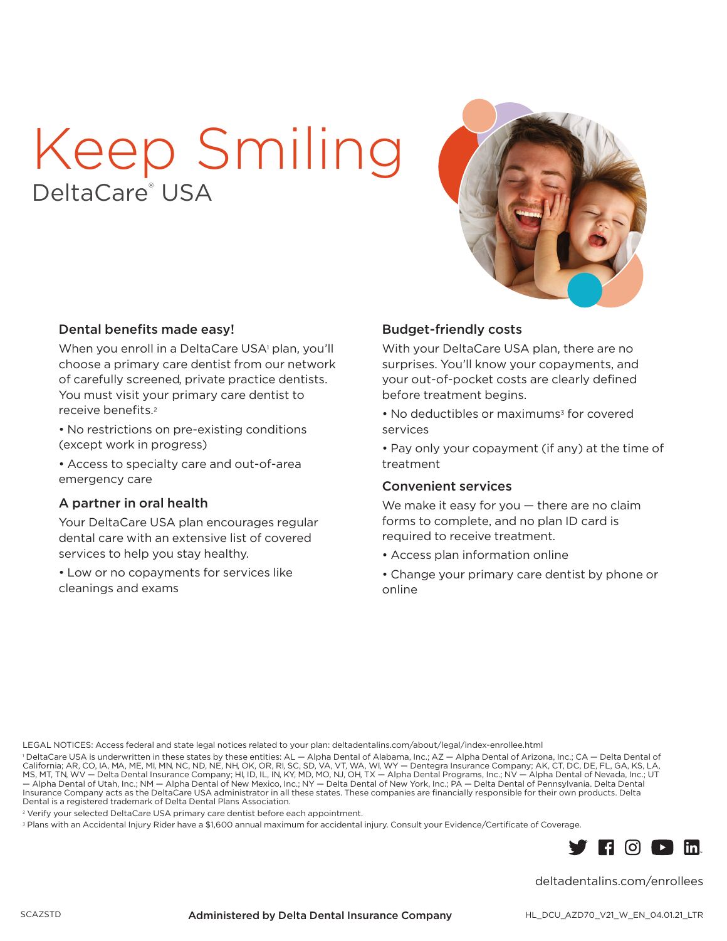# Keep Smiling eltaCare<sup>®</sup> USA



#### Dental benefits made easy!

When you enroll in a DeltaCare USA<sup>1</sup> plan, you'll choose a primary care dentist from our network of carefully screened, private practice dentists. You must visit your primary care dentist to receive benefits.<sup>2</sup>

• No restrictions on pre-existing conditions (except work in progress)

• Access to specialty care and out-of-area emergency care

#### A partner in oral health

Your DeltaCare USA plan encourages regular dental care with an extensive list of covered services to help you stay healthy.

• Low or no copayments for services like cleanings and exams

#### **Budget-friendly costs**

With your DeltaCare USA plan, there are no surprises. You'll know your copayments, and your out-of-pocket costs are clearly defined before treatment begins.

• No deductibles or maximums<sup>3</sup> for covered services

• Pay only your copayment (if any) at the time of treatment

#### **Convenient services**

We make it easy for you  $-$  there are no claim forms to complete, and no plan ID card is required to receive treatment.

- Access plan information online
- Change your primary care dentist by phone or online

LEGAL NOTICES: Access federal and state legal notices related to your plan: deltadentalins.com/about/legal/index-enrollee.html

PeltaCare USA is underwritten in these states by these entities: AL — Alpha Dental of Alabama, Inc.; AZ — Alpha Dental of Arizona, Inc.; CA — Delta Dental of California; AR, CO, IA, MA, ME, MI, MN, NC, ND, NE, NH, OK, OR, Insurance Company acts as the DeltaCare USA administrator in all these states. These companies are financially responsible for their own products. Delta Dental is a registered trademark of Delta Dental Plans Association.

<sup>2</sup> Verify your selected DeltaCare USA primary care dentist before each appointment.

<sup>3</sup> Plans with an Accidental Injury Rider have a \$1,600 annual maximum for accidental injury. Consult your Evidence/Certificate of Coverage.



deltadentalins.com/enrollees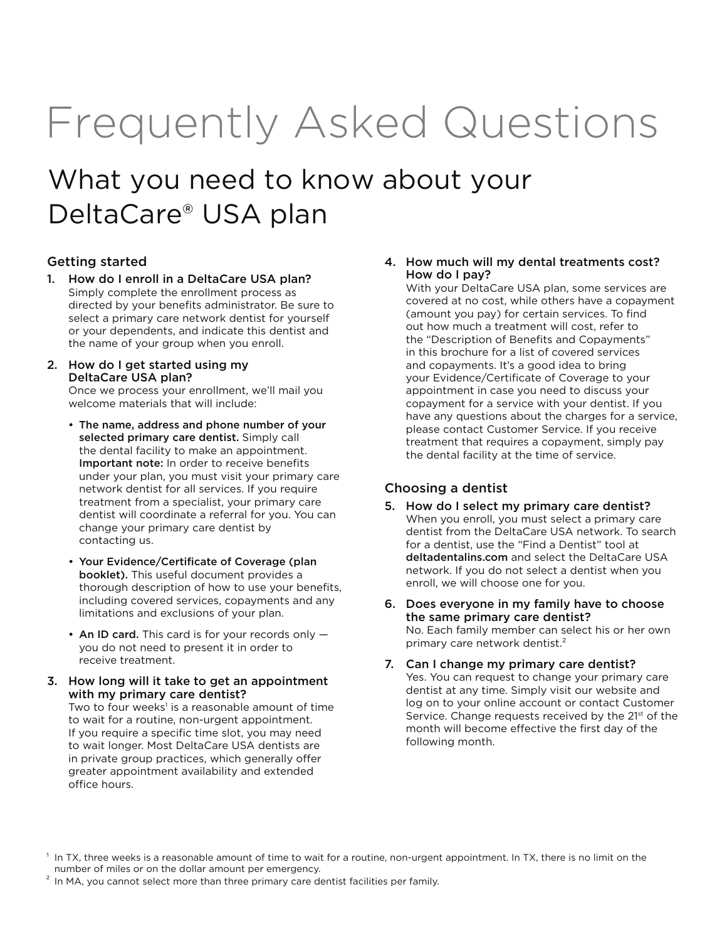# Frequently Asked Questions

## What you need to know about your DeltaCare® USA plan

#### Getting started

- 1. How do I enroll in a DeltaCare USA plan? Simply complete the enrollment process as directed by your benefits administrator. Be sure to select a primary care network dentist for yourself or your dependents, and indicate this dentist and the name of your group when you enroll.
- 2. How do I get started using my DeltaCare USA plan?

Once we process your enrollment, we'll mail you welcome materials that will include:

- The name, address and phone number of your selected primary care dentist. Simply call the dental facility to make an appointment. Important note: In order to receive benefits under your plan, you must visit your primary care network dentist for all services. If you require treatment from a specialist, your primary care dentist will coordinate a referral for you. You can change your primary care dentist by contacting us.
- Your Evidence/Certificate of Coverage (plan booklet). This useful document provides a thorough description of how to use your benefits, including covered services, copayments and any limitations and exclusions of your plan.
- An ID card. This card is for your records only you do not need to present it in order to receive treatment.
- 3. How long will it take to get an appointment with my primary care dentist?

Two to four weeks<sup>1</sup> is a reasonable amount of time to wait for a routine, non-urgent appointment. If you require a specific time slot, you may need to wait longer. Most DeltaCare USA dentists are in private group practices, which generally offer greater appointment availability and extended office hours.

#### 4. How much will my dental treatments cost? How do I pay?

With your DeltaCare USA plan, some services are covered at no cost, while others have a copayment (amount you pay) for certain services. To find out how much a treatment will cost, refer to the "Description of Benefits and Copayments" in this brochure for a list of covered services and copayments. It's a good idea to bring your Evidence/Certificate of Coverage to your appointment in case you need to discuss your copayment for a service with your dentist. If you have any questions about the charges for a service, please contact Customer Service. If you receive treatment that requires a copayment, simply pay the dental facility at the time of service.

#### Choosing a dentist

- 5. How do I select my primary care dentist? When you enroll, you must select a primary care dentist from the DeltaCare USA network. To search for a dentist, use the "Find a Dentist" tool at deltadentalins.com and select the DeltaCare USA network. If you do not select a dentist when you enroll, we will choose one for you.
- 6. Does everyone in my family have to choose the same primary care dentist? No. Each family member can select his or her own primary care network dentist.<sup>2</sup>
- 7. Can I change my primary care dentist? Yes. You can request to change your primary care dentist at any time. Simply visit our website and log on to your online account or contact Customer Service. Change requests received by the 21<sup>st</sup> of the month will become effective the first day of the following month.

<sup>&</sup>lt;sup>1</sup> In TX, three weeks is a reasonable amount of time to wait for a routine, non-urgent appointment. In TX, there is no limit on the number of miles or on the dollar amount per emergency.

 $2$  In MA, you cannot select more than three primary care dentist facilities per family.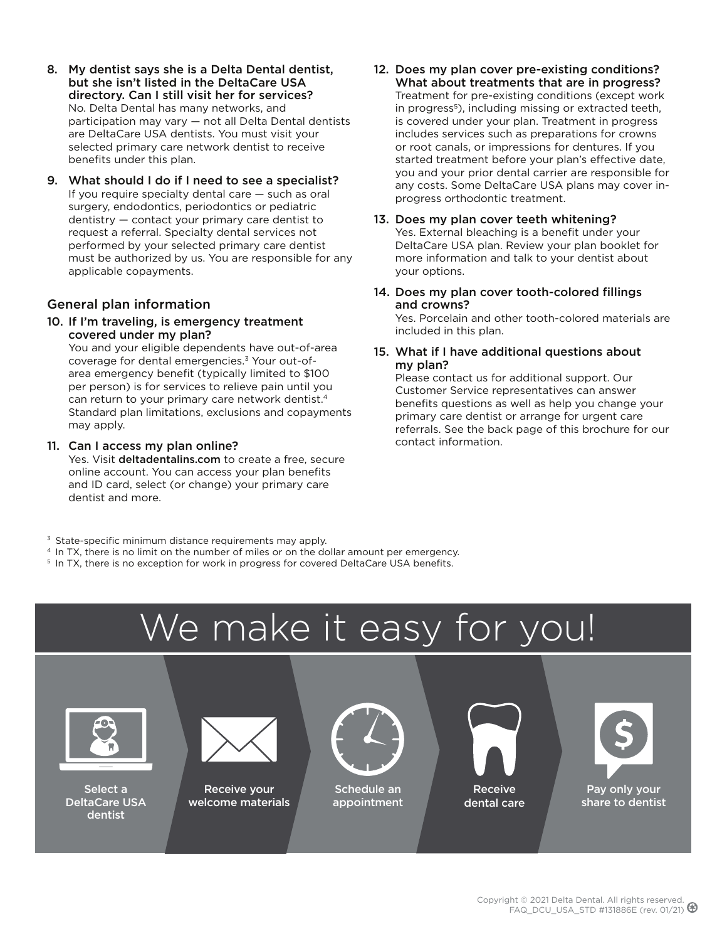- 8. My dentist says she is a Delta Dental dentist, but she isn't listed in the DeltaCare USA directory. Can I still visit her for services? No. Delta Dental has many networks, and participation may vary — not all Delta Dental dentists are DeltaCare USA dentists. You must visit your selected primary care network dentist to receive benefits under this plan.
- 9. What should I do if I need to see a specialist? If you require specialty dental care — such as oral surgery, endodontics, periodontics or pediatric dentistry — contact your primary care dentist to request a referral. Specialty dental services not performed by your selected primary care dentist must be authorized by us. You are responsible for any applicable copayments.

#### General plan information

10. If I'm traveling, is emergency treatment covered under my plan?

You and your eligible dependents have out-of-area coverage for dental emergencies.3 Your out-ofarea emergency benefit (typically limited to \$100 per person) is for services to relieve pain until you can return to your primary care network dentist.<sup>4</sup> Standard plan limitations, exclusions and copayments may apply.

#### 11. Can I access my plan online?

Yes. Visit deltadentalins.com to create a free, secure online account. You can access your plan benefits and ID card, select (or change) your primary care dentist and more.

- 12. Does my plan cover pre-existing conditions? What about treatments that are in progress? Treatment for pre-existing conditions (except work in progress<sup>5</sup>), including missing or extracted teeth, is covered under your plan. Treatment in progress includes services such as preparations for crowns or root canals, or impressions for dentures. If you started treatment before your plan's effective date, you and your prior dental carrier are responsible for any costs. Some DeltaCare USA plans may cover inprogress orthodontic treatment.
- 13. Does my plan cover teeth whitening? Yes. External bleaching is a benefit under your DeltaCare USA plan. Review your plan booklet for more information and talk to your dentist about your options.
- 14. Does my plan cover tooth-colored fillings and crowns? Yes. Porcelain and other tooth-colored materials are

included in this plan.

#### 15. What if I have additional questions about my plan?

Please contact us for additional support. Our Customer Service representatives can answer benefits questions as well as help you change your primary care dentist or arrange for urgent care referrals. See the back page of this brochure for our contact information.

- 
- $\frac{3}{4}$  State-specific minimum distance requirements may apply.<br>  $\frac{4}{4}$  In TX, there is no limit on the number of miles or on the dollar amount per emergency.<br>  $\frac{5}{4}$  In TX, there is no exception for work in progr
- 

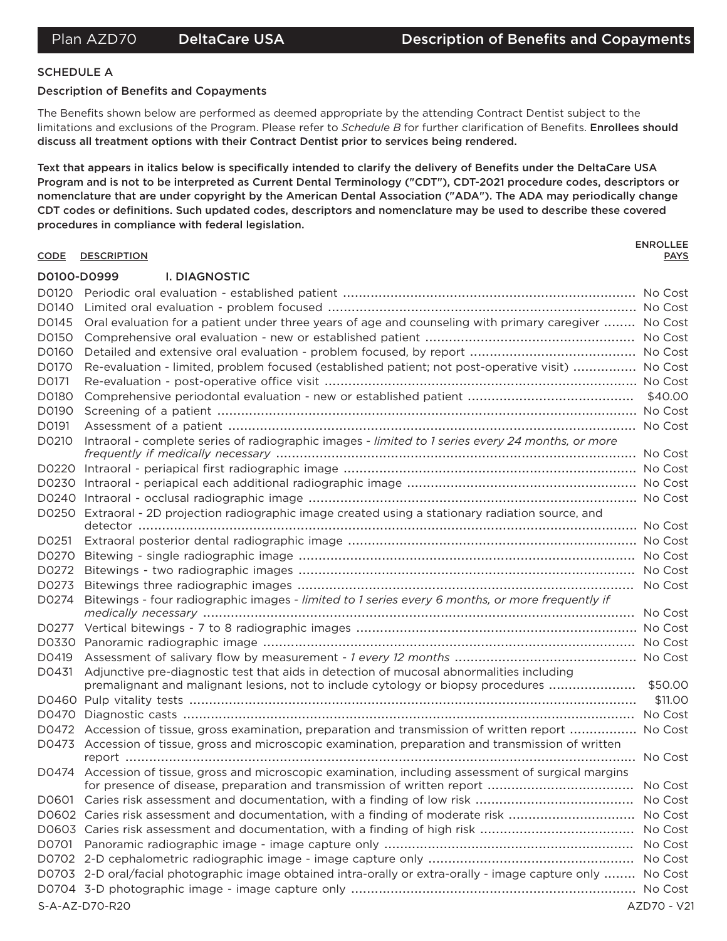#### **SCHEDULE A**

#### **Description of Benefits and Copayments**

The Benefits shown below are performed as deemed appropriate by the attending Contract Dentist subject to the limitations and exclusions of the Program. Please refer to Schedule B for further clarification of Benefits. Enrollees should discuss all treatment options with their Contract Dentist prior to services being rendered.

Text that appears in italics below is specifically intended to clarify the delivery of Benefits under the DeltaCare USA Program and is not to be interpreted as Current Dental Terminology ("CDT"), CDT-2021 procedure codes, descriptors or nomenclature that are under copyright by the American Dental Association ("ADA"). The ADA may periodically change CDT codes or definitions. Such updated codes, descriptors and nomenclature may be used to describe these covered procedures in compliance with federal legislation.

#### CODE DESCRIPTION **PAYS** D0100-D0999 **I. DIAGNOSTIC** D0145 Oral evaluation for a patient under three years of age and counseling with primary caregiver ........ No Cost D0170 Re-evaluation - limited, problem focused (established patient; not post-operative visit) ................ No Cost D0171 D0191 D0210 Intraoral - complete series of radiographic images - limited to 1 series every 24 months, or more D0250 Extraoral - 2D projection radiographic image created using a stationary radiation source, and D0274 Bitewings - four radiographic images - limited to 1 series every 6 months, or more frequently if D0431 Adjunctive pre-diagnostic test that aids in detection of mucosal abnormalities including premalignant and malignant lesions, not to include cytology or biopsy procedures ............................. \$50.00 D0472 Accession of tissue, gross examination, preparation and transmission of written report ................. No Cost D0473 Accession of tissue, gross and microscopic examination, preparation and transmission of written D0474 Accession of tissue, gross and microscopic examination, including assessment of surgical margins D0602 Caries risk assessment and documentation, with a finding of moderate risk ................................. No Cost D0703 2-D oral/facial photographic image obtained intra-orally or extra-orally - image capture only ........ No Cost S-A-AZ-D70-R20

**ENROLLEE**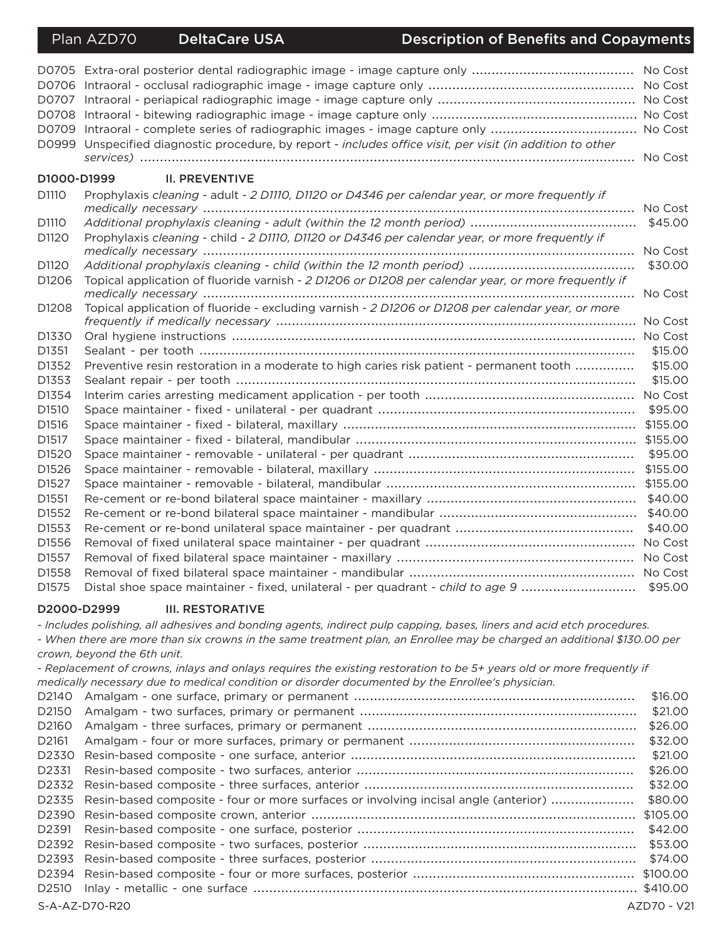#### Plan AZD70 **DeltaCare USA**

#### **Description of Benefits and Copayments**

|                   | D0709 Intraoral - complete series of radiographic images - image capture only  No Cost               |          |
|-------------------|------------------------------------------------------------------------------------------------------|----------|
| D0999             | Unspecified diagnostic procedure, by report - includes office visit, per visit (in addition to other |          |
|                   |                                                                                                      |          |
| D1000-D1999       | <b>II. PREVENTIVE</b>                                                                                |          |
| D <sub>1110</sub> | Prophylaxis cleaning - adult - 2 D1110, D1120 or D4346 per calendar year, or more frequently if      |          |
|                   |                                                                                                      | No Cost  |
| D <sub>1110</sub> |                                                                                                      | \$45.00  |
| D1120             | Prophylaxis cleaning - child - 2 D1110, D1120 or D4346 per calendar year, or more frequently if      |          |
|                   |                                                                                                      | No Cost  |
| D1120             |                                                                                                      | \$30.00  |
| D <sub>1206</sub> | Topical application of fluoride varnish - 2 D1206 or D1208 per calendar year, or more frequently if  | No Cost  |
| D <sub>1208</sub> | Topical application of fluoride - excluding varnish - 2 D1206 or D1208 per calendar year, or more    |          |
|                   |                                                                                                      | No Cost  |
| D <sub>1330</sub> |                                                                                                      |          |
| D1351             |                                                                                                      | \$15.00  |
| D1352             | Preventive resin restoration in a moderate to high caries risk patient - permanent tooth             | \$15.00  |
| D1353             |                                                                                                      | \$15.00  |
| D1354             |                                                                                                      |          |
| D <sub>1510</sub> |                                                                                                      | \$95.00  |
| D1516             |                                                                                                      | \$155.00 |
| D <sub>1517</sub> |                                                                                                      |          |
| D1520             |                                                                                                      | \$95.00  |
| D1526             |                                                                                                      | \$155.00 |
| D1527             |                                                                                                      | \$155.00 |
| D <sub>1551</sub> |                                                                                                      | \$40.00  |
| D1552             |                                                                                                      | \$40.00  |
| D1553             |                                                                                                      | \$40.00  |
| D1556             |                                                                                                      |          |
| D1557             |                                                                                                      |          |
| D1558             |                                                                                                      |          |
| D1575             | Distal shoe space maintainer - fixed, unilateral - per quadrant - child to age 9                     | \$95.00  |

#### D2000-D2999 **III. RESTORATIVE**

- Includes polishing, all adhesives and bonding agents, indirect pulp capping, bases, liners and acid etch procedures.

- When there are more than six crowns in the same treatment plan, an Enrollee may be charged an additional \$130.00 per crown, beyond the 6th unit.

- Replacement of crowns, inlays and onlays requires the existing restoration to be 5+ years old or more frequently if medically necessary due to medical condition or disorder documented by the Enrollee's physician.

| D <sub>2140</sub> |                                                                                           | \$16,00     |
|-------------------|-------------------------------------------------------------------------------------------|-------------|
| D <sub>2150</sub> |                                                                                           | \$21.00     |
| D <sub>2160</sub> |                                                                                           | \$26.00     |
| D <sub>2161</sub> |                                                                                           | \$32.00     |
| D <sub>2330</sub> |                                                                                           | \$21.00     |
| D2331             |                                                                                           | \$26.00     |
|                   |                                                                                           | \$32.00     |
|                   | D2335 Resin-based composite - four or more surfaces or involving incisal angle (anterior) | \$80.00     |
|                   |                                                                                           | \$105.00    |
|                   |                                                                                           | \$42.00     |
|                   |                                                                                           | \$53.00     |
|                   |                                                                                           | \$74.00     |
|                   |                                                                                           | \$100.00    |
| D <sub>2510</sub> |                                                                                           |             |
|                   | S-A-AZ-D70-R20                                                                            | AZD70 - V21 |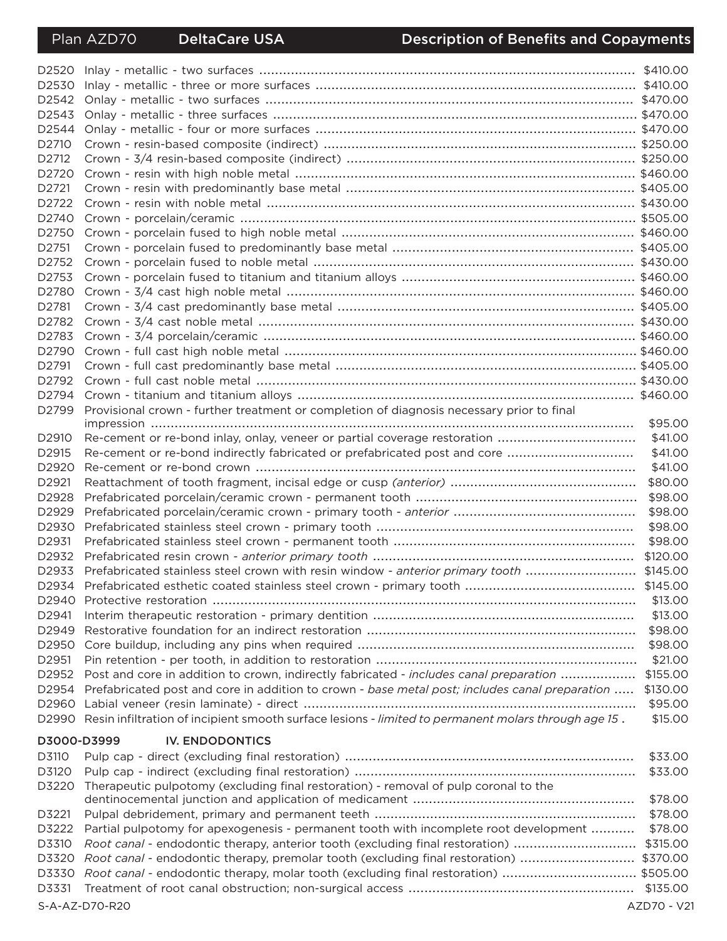| D2520             |                                                                                                      |                    |  |  |
|-------------------|------------------------------------------------------------------------------------------------------|--------------------|--|--|
| D2530             |                                                                                                      |                    |  |  |
| D2542             |                                                                                                      |                    |  |  |
| D2543             |                                                                                                      |                    |  |  |
| D2544             |                                                                                                      |                    |  |  |
| D <sub>2710</sub> |                                                                                                      |                    |  |  |
| D <sub>2712</sub> |                                                                                                      |                    |  |  |
| D2720             |                                                                                                      |                    |  |  |
| D <sub>2721</sub> |                                                                                                      |                    |  |  |
| D2722             |                                                                                                      |                    |  |  |
| D2740             |                                                                                                      |                    |  |  |
| D <sub>2750</sub> |                                                                                                      |                    |  |  |
| D <sub>2751</sub> |                                                                                                      |                    |  |  |
| D2752             |                                                                                                      |                    |  |  |
| D2753             |                                                                                                      |                    |  |  |
| D2780             |                                                                                                      |                    |  |  |
| D2781             |                                                                                                      |                    |  |  |
| D2782             |                                                                                                      |                    |  |  |
| D2783             |                                                                                                      |                    |  |  |
| D2790             |                                                                                                      |                    |  |  |
| D2791             |                                                                                                      |                    |  |  |
| D2792             |                                                                                                      |                    |  |  |
|                   |                                                                                                      |                    |  |  |
| D2799             | Provisional crown - further treatment or completion of diagnosis necessary prior to final            |                    |  |  |
|                   |                                                                                                      | \$95.00            |  |  |
| D2910             | Re-cement or re-bond inlay, onlay, veneer or partial coverage restoration                            | \$41.00            |  |  |
| D2915             | Re-cement or re-bond indirectly fabricated or prefabricated post and core                            | \$41.00            |  |  |
| D2920             |                                                                                                      | \$41.00            |  |  |
| D2921             |                                                                                                      | \$80.00            |  |  |
| D2928             |                                                                                                      | \$98.00<br>\$98.00 |  |  |
| D2929             |                                                                                                      |                    |  |  |
| D2930             |                                                                                                      | \$98.00            |  |  |
| D2931             |                                                                                                      | \$98.00            |  |  |
| D2932             |                                                                                                      |                    |  |  |
| D2933             | Prefabricated stainless steel crown with resin window - anterior primary tooth \$145.00              |                    |  |  |
|                   |                                                                                                      |                    |  |  |
| D2940             |                                                                                                      | \$13.00            |  |  |
| D2941             |                                                                                                      | \$13.00            |  |  |
| D2949             |                                                                                                      | \$98.00            |  |  |
| D2950             |                                                                                                      | \$98.00            |  |  |
| D2951             |                                                                                                      | \$21.00            |  |  |
| D2952             | Post and core in addition to crown, indirectly fabricated - includes canal preparation               | \$155.00           |  |  |
| D2954             | Prefabricated post and core in addition to crown - base metal post; includes canal preparation       | \$130.00           |  |  |
| D2960             |                                                                                                      | \$95.00            |  |  |
| D2990             | Resin infiltration of incipient smooth surface lesions - limited to permanent molars through age 15. | \$15.00            |  |  |
| D3000-D3999       | <b>IV. ENDODONTICS</b>                                                                               |                    |  |  |
| D3110             |                                                                                                      | \$33.00            |  |  |
| D3120             |                                                                                                      | \$33.00            |  |  |
| D3220             | Therapeutic pulpotomy (excluding final restoration) - removal of pulp coronal to the                 |                    |  |  |
|                   |                                                                                                      | \$78.00            |  |  |
| D3221             |                                                                                                      | \$78.00            |  |  |
| D3222             | Partial pulpotomy for apexogenesis - permanent tooth with incomplete root development                | \$78.00            |  |  |
| D3310             | Root canal - endodontic therapy, anterior tooth (excluding final restoration)                        | \$315.00           |  |  |
| D3320             | Root canal - endodontic therapy, premolar tooth (excluding final restoration)                        | \$370.00           |  |  |
| D3330<br>D3331    | Root canal - endodontic therapy, molar tooth (excluding final restoration)  \$505.00                 |                    |  |  |
|                   |                                                                                                      | \$135.00           |  |  |

S-A-AZ-D70-R20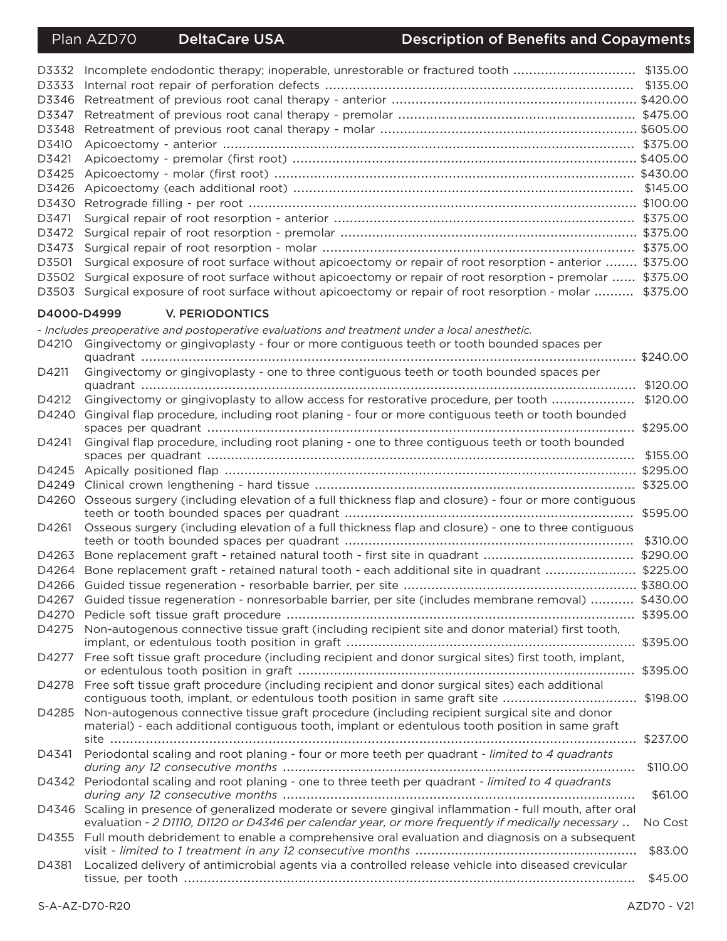## **Description of Benefits and Copayments**

| D3332<br>D3333<br>D3346<br>D3347<br>D3348<br>D3410<br>D3421<br>D3425<br>D3426<br>D3430<br>D3471<br>D3472<br>D3473 |                                                                                                                                                                                                           |          |
|-------------------------------------------------------------------------------------------------------------------|-----------------------------------------------------------------------------------------------------------------------------------------------------------------------------------------------------------|----------|
| D3501                                                                                                             | Surgical exposure of root surface without apicoectomy or repair of root resorption - anterior  \$375.00                                                                                                   |          |
| D3502<br>D3503                                                                                                    | Surgical exposure of root surface without apicoectomy or repair of root resorption - premolar  \$375.00<br>Surgical exposure of root surface without apicoectomy or repair of root resorption - molar     | \$375.00 |
| D4000-D4999                                                                                                       | V. PERIODONTICS                                                                                                                                                                                           |          |
|                                                                                                                   | - Includes preoperative and postoperative evaluations and treatment under a local anesthetic.                                                                                                             |          |
| D4210                                                                                                             | Gingivectomy or gingivoplasty - four or more contiguous teeth or tooth bounded spaces per                                                                                                                 |          |
| D4211                                                                                                             | Gingivectomy or gingivoplasty - one to three contiguous teeth or tooth bounded spaces per                                                                                                                 |          |
|                                                                                                                   |                                                                                                                                                                                                           | \$120.00 |
| D4212<br>D4240                                                                                                    | Gingivectomy or gingivoplasty to allow access for restorative procedure, per tooth<br>Gingival flap procedure, including root planing - four or more contiguous teeth or tooth bounded                    | \$120.00 |
|                                                                                                                   |                                                                                                                                                                                                           | \$295.00 |
| D4241                                                                                                             | Gingival flap procedure, including root planing - one to three contiguous teeth or tooth bounded                                                                                                          | \$155.00 |
| D4245                                                                                                             |                                                                                                                                                                                                           |          |
| D4249                                                                                                             |                                                                                                                                                                                                           |          |
| D4260                                                                                                             | Osseous surgery (including elevation of a full thickness flap and closure) - four or more contiguous                                                                                                      |          |
| D4261                                                                                                             | Osseous surgery (including elevation of a full thickness flap and closure) - one to three contiguous                                                                                                      | \$595.00 |
|                                                                                                                   |                                                                                                                                                                                                           | \$310.00 |
| D4263                                                                                                             |                                                                                                                                                                                                           |          |
| D4264                                                                                                             | Bone replacement graft - retained natural tooth - each additional site in quadrant  \$225.00                                                                                                              |          |
|                                                                                                                   |                                                                                                                                                                                                           |          |
| D4267                                                                                                             | Guided tissue regeneration - nonresorbable barrier, per site (includes membrane removal)  \$430.00                                                                                                        |          |
| D4270                                                                                                             |                                                                                                                                                                                                           |          |
| D4275                                                                                                             | Non-autogenous connective tissue graft (including recipient site and donor material) first tooth,                                                                                                         |          |
|                                                                                                                   | D4277 Free soft tissue graft procedure (including recipient and donor surgical sites) first tooth, implant,                                                                                               | \$395.00 |
| D4278                                                                                                             | Free soft tissue graft procedure (including recipient and donor surgical sites) each additional<br>contiguous tooth, implant, or edentulous tooth position in same graft site                             | \$198.00 |
| D4285                                                                                                             | Non-autogenous connective tissue graft procedure (including recipient surgical site and donor<br>material) - each additional contiguous tooth, implant or edentulous tooth position in same graft         | \$237.00 |
| D4341                                                                                                             | Periodontal scaling and root planing - four or more teeth per quadrant - limited to 4 quadrants                                                                                                           | \$110.00 |
| D4342                                                                                                             | Periodontal scaling and root planing - one to three teeth per quadrant - limited to 4 quadrants                                                                                                           | \$61.00  |
| D4346                                                                                                             | Scaling in presence of generalized moderate or severe gingival inflammation - full mouth, after oral<br>evaluation - 2 D1110, D1120 or D4346 per calendar year, or more frequently if medically necessary | No Cost  |
|                                                                                                                   | D4355 Full mouth debridement to enable a comprehensive oral evaluation and diagnosis on a subsequent                                                                                                      | \$83.00  |
| D4381                                                                                                             | Localized delivery of antimicrobial agents via a controlled release vehicle into diseased crevicular                                                                                                      |          |
|                                                                                                                   |                                                                                                                                                                                                           | \$45.00  |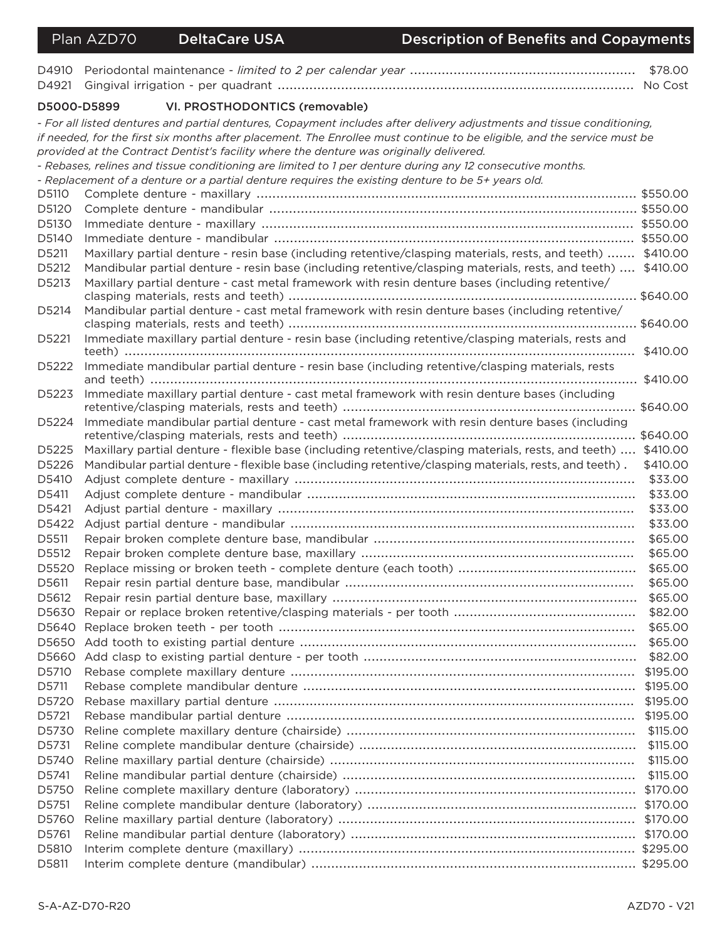| D4910       |                                                                                                                         |          |
|-------------|-------------------------------------------------------------------------------------------------------------------------|----------|
| D4921       |                                                                                                                         |          |
| D5000-D5899 | VI. PROSTHODONTICS (removable)                                                                                          |          |
|             | - For all listed dentures and partial dentures, Copayment includes after delivery adjustments and tissue conditioning,  |          |
|             | if needed, for the first six months after placement. The Enrollee must continue to be eligible, and the service must be |          |
|             | provided at the Contract Dentist's facility where the denture was originally delivered.                                 |          |
|             | - Rebases, relines and tissue conditioning are limited to 1 per denture during any 12 consecutive months.               |          |
|             | - Replacement of a denture or a partial denture requires the existing denture to be 5+ years old.                       |          |
| D5110       |                                                                                                                         |          |
| D5120       |                                                                                                                         |          |
| D5130       |                                                                                                                         |          |
| D5140       |                                                                                                                         |          |
| D5211       | Maxillary partial denture - resin base (including retentive/clasping materials, rests, and teeth)  \$410.00             |          |
| D5212       | Mandibular partial denture - resin base (including retentive/clasping materials, rests, and teeth)  \$410.00            |          |
| D5213       | Maxillary partial denture - cast metal framework with resin denture bases (including retentive/                         |          |
| D5214       | Mandibular partial denture - cast metal framework with resin denture bases (including retentive/                        |          |
| D5221       | Immediate maxillary partial denture - resin base (including retentive/clasping materials, rests and                     |          |
|             |                                                                                                                         | \$410.00 |
| D5222       | Immediate mandibular partial denture - resin base (including retentive/clasping materials, rests                        |          |
| D5223       | Immediate maxillary partial denture - cast metal framework with resin denture bases (including                          |          |
| D5224       | Immediate mandibular partial denture - cast metal framework with resin denture bases (including                         |          |
|             |                                                                                                                         |          |
| D5225       | Maxillary partial denture - flexible base (including retentive/clasping materials, rests, and teeth)  \$410.00          |          |
| D5226       | Mandibular partial denture - flexible base (including retentive/clasping materials, rests, and teeth).                  | \$410.00 |
| D5410       |                                                                                                                         | \$33.00  |
| D5411       |                                                                                                                         | \$33.00  |
| D5421       |                                                                                                                         | \$33.00  |
| D5422       |                                                                                                                         | \$33.00  |
| D5511       |                                                                                                                         | \$65.00  |
| D5512       |                                                                                                                         | \$65.00  |
| D5520       |                                                                                                                         | \$65.00  |
| D5611       |                                                                                                                         | \$65.00  |
| D5612       | Repair resin partial denture base, maxillary                                                                            | \$65.00  |
|             |                                                                                                                         | \$82.00  |
| D5640       |                                                                                                                         | \$65.00  |
|             |                                                                                                                         | \$65.00  |
| D5660       |                                                                                                                         | \$82.00  |
| D5710       |                                                                                                                         | \$195.00 |
| D5711       |                                                                                                                         | \$195.00 |
| D5720       |                                                                                                                         | \$195.00 |
| D5721       |                                                                                                                         | \$195.00 |
| D5730       |                                                                                                                         | \$115.00 |
| D5731       |                                                                                                                         | \$115.00 |
| D5740       |                                                                                                                         | \$115.00 |
| D5741       |                                                                                                                         | \$115.00 |
| D5750       |                                                                                                                         | \$170.00 |
| D5751       |                                                                                                                         | \$170.00 |
| D5760       |                                                                                                                         | \$170.00 |
| D5761       |                                                                                                                         |          |
| D5810       |                                                                                                                         |          |
| D5811       |                                                                                                                         |          |
|             |                                                                                                                         |          |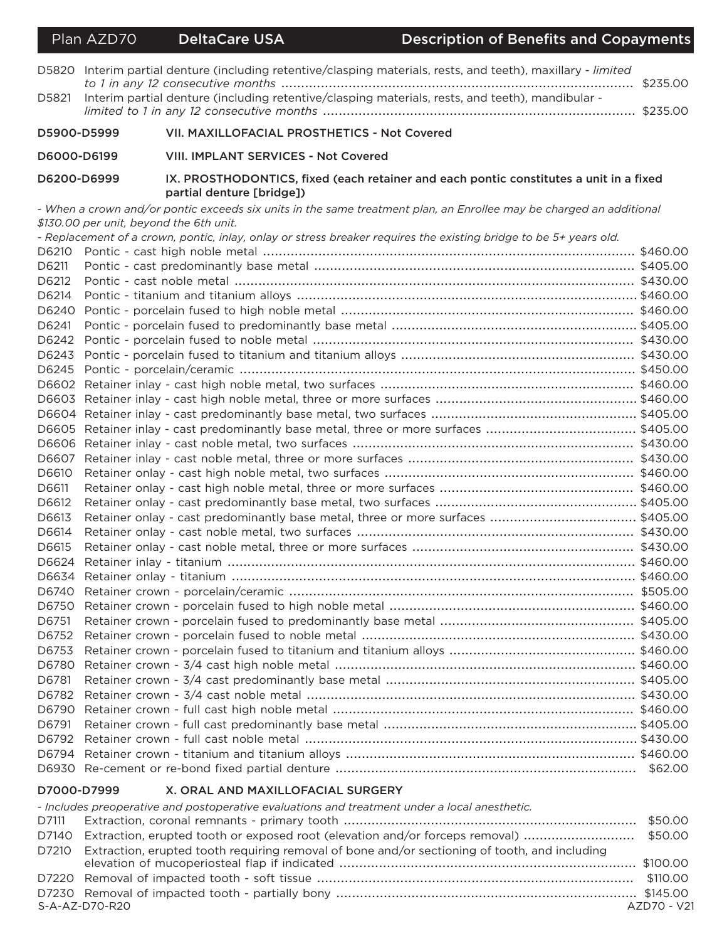|             | Plan AZD70                              | <b>DeltaCare USA</b>                                                                                              | <b>Description of Benefits and Copayments</b>                                                                       |          |
|-------------|-----------------------------------------|-------------------------------------------------------------------------------------------------------------------|---------------------------------------------------------------------------------------------------------------------|----------|
| D5820       |                                         |                                                                                                                   | Interim partial denture (including retentive/clasping materials, rests, and teeth), maxillary - limited             | \$235.00 |
| D5821       |                                         | Interim partial denture (including retentive/clasping materials, rests, and teeth), mandibular -                  |                                                                                                                     |          |
| D5900-D5999 |                                         | VII. MAXILLOFACIAL PROSTHETICS - Not Covered                                                                      |                                                                                                                     |          |
| D6000-D6199 |                                         | <b>VIII. IMPLANT SERVICES - Not Covered</b>                                                                       |                                                                                                                     |          |
| D6200-D6999 |                                         | partial denture [bridge])                                                                                         | IX. PROSTHODONTICS, fixed (each retainer and each pontic constitutes a unit in a fixed                              |          |
|             |                                         |                                                                                                                   | - When a crown and/or pontic exceeds six units in the same treatment plan, an Enrollee may be charged an additional |          |
|             | \$130.00 per unit, beyond the 6th unit. |                                                                                                                   |                                                                                                                     |          |
| D6210       |                                         | - Replacement of a crown, pontic, inlay, onlay or stress breaker requires the existing bridge to be 5+ years old. |                                                                                                                     |          |
| D6211       |                                         |                                                                                                                   |                                                                                                                     |          |
| D6212       |                                         |                                                                                                                   |                                                                                                                     |          |
| D6214       |                                         |                                                                                                                   |                                                                                                                     |          |
| D6240       |                                         |                                                                                                                   |                                                                                                                     |          |
| D6241       |                                         |                                                                                                                   |                                                                                                                     |          |
|             |                                         |                                                                                                                   |                                                                                                                     |          |
|             |                                         |                                                                                                                   |                                                                                                                     |          |
|             |                                         |                                                                                                                   |                                                                                                                     |          |
|             |                                         |                                                                                                                   |                                                                                                                     |          |
|             |                                         |                                                                                                                   |                                                                                                                     |          |
|             |                                         |                                                                                                                   |                                                                                                                     |          |
|             |                                         |                                                                                                                   |                                                                                                                     |          |
|             |                                         |                                                                                                                   |                                                                                                                     |          |
| D6607       |                                         |                                                                                                                   |                                                                                                                     |          |
| D6610       |                                         |                                                                                                                   |                                                                                                                     |          |
| D6611       |                                         |                                                                                                                   |                                                                                                                     |          |
| D6612       |                                         |                                                                                                                   |                                                                                                                     |          |
| D6613       |                                         |                                                                                                                   | Retainer onlay - cast predominantly base metal, three or more surfaces  \$405.00                                    |          |
| D6614       |                                         |                                                                                                                   |                                                                                                                     |          |
| D6615       |                                         |                                                                                                                   |                                                                                                                     |          |
|             |                                         |                                                                                                                   |                                                                                                                     |          |
|             |                                         |                                                                                                                   |                                                                                                                     |          |
|             |                                         |                                                                                                                   |                                                                                                                     |          |
| D6750       |                                         |                                                                                                                   |                                                                                                                     |          |
| D6751       |                                         |                                                                                                                   |                                                                                                                     |          |
| D6752       |                                         |                                                                                                                   |                                                                                                                     |          |
| D6753       |                                         |                                                                                                                   |                                                                                                                     |          |
| D6780       |                                         |                                                                                                                   |                                                                                                                     |          |
| D6781       |                                         |                                                                                                                   |                                                                                                                     |          |
| D6782       |                                         |                                                                                                                   |                                                                                                                     |          |
| D6790       |                                         |                                                                                                                   |                                                                                                                     |          |
| D6791       |                                         |                                                                                                                   |                                                                                                                     |          |
| D6792       |                                         |                                                                                                                   |                                                                                                                     |          |
| D6794       |                                         |                                                                                                                   |                                                                                                                     |          |
|             |                                         |                                                                                                                   |                                                                                                                     |          |

#### D7000-D7999 X. ORAL AND MAXILLOFACIAL SURGERY

| - Includes preoperative and postoperative evaluations and treatment under a local anesthetic. |                                                                                                     |             |
|-----------------------------------------------------------------------------------------------|-----------------------------------------------------------------------------------------------------|-------------|
|                                                                                               |                                                                                                     |             |
|                                                                                               | D7140 Extraction, erupted tooth or exposed root (elevation and/or forceps removal) \$50.00          |             |
|                                                                                               | D7210 Extraction, erupted tooth requiring removal of bone and/or sectioning of tooth, and including |             |
|                                                                                               |                                                                                                     |             |
|                                                                                               |                                                                                                     |             |
|                                                                                               |                                                                                                     |             |
| S-A-AZ-D70-R20                                                                                |                                                                                                     | AZD70 - V21 |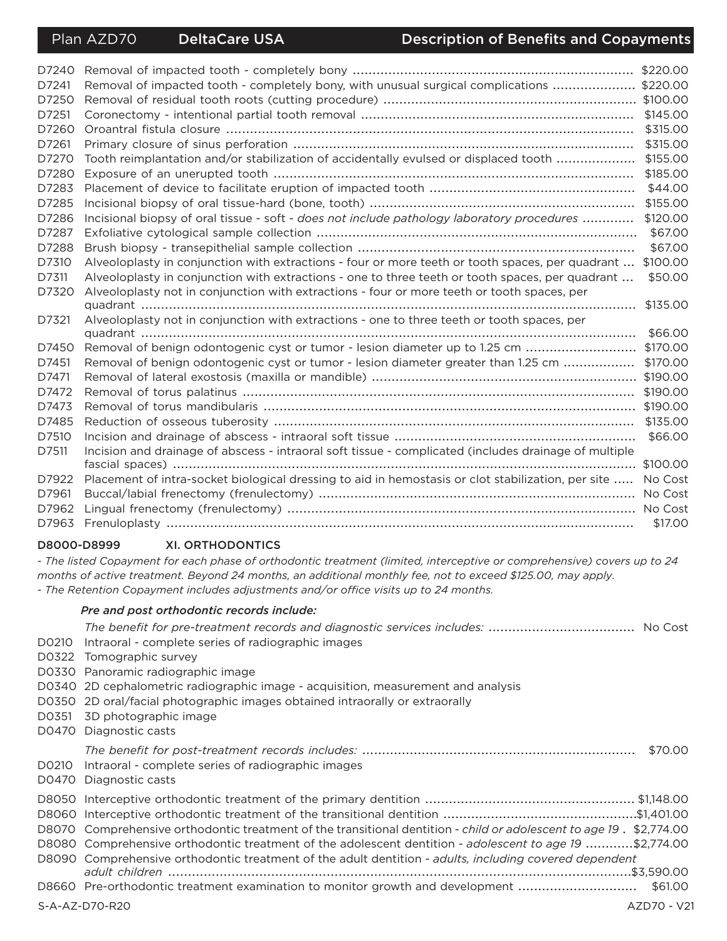| D7240 |                                                                                                       | \$220.00 |
|-------|-------------------------------------------------------------------------------------------------------|----------|
| D7241 | Removal of impacted tooth - completely bony, with unusual surgical complications  \$220.00            |          |
| D7250 |                                                                                                       |          |
| D7251 |                                                                                                       | \$145.00 |
| D7260 |                                                                                                       | \$315.00 |
| D7261 |                                                                                                       | \$315.00 |
| D7270 | Tooth reimplantation and/or stabilization of accidentally evulsed or displaced tooth                  | \$155.00 |
| D7280 |                                                                                                       | \$185.00 |
| D7283 |                                                                                                       | \$44.00  |
| D7285 |                                                                                                       | \$155.00 |
| D7286 | Incisional biopsy of oral tissue - soft - does not include pathology laboratory procedures            | \$120.00 |
| D7287 |                                                                                                       | \$67.00  |
| D7288 |                                                                                                       | \$67.00  |
| D7310 | Alveoloplasty in conjunction with extractions - four or more teeth or tooth spaces, per quadrant      | \$100.00 |
| D7311 | Alveoloplasty in conjunction with extractions - one to three teeth or tooth spaces, per quadrant      | \$50.00  |
| D7320 | Alveoloplasty not in conjunction with extractions - four or more teeth or tooth spaces, per           |          |
|       |                                                                                                       | \$135.00 |
| D7321 | Alveoloplasty not in conjunction with extractions - one to three teeth or tooth spaces, per           |          |
|       |                                                                                                       | \$66.00  |
| D7450 | Removal of benign odontogenic cyst or tumor - lesion diameter up to 1.25 cm                           | \$170.00 |
| D7451 | Removal of benign odontogenic cyst or tumor - lesion diameter greater than 1.25 cm                    | \$170.00 |
| D7471 |                                                                                                       | \$190.00 |
| D7472 |                                                                                                       | \$190.00 |
| D7473 |                                                                                                       |          |
| D7485 |                                                                                                       | \$135.00 |
| D7510 |                                                                                                       | \$66.00  |
| D7511 | Incision and drainage of abscess - intraoral soft tissue - complicated (includes drainage of multiple |          |
|       |                                                                                                       | \$100.00 |
| D7922 | Placement of intra-socket biological dressing to aid in hemostasis or clot stabilization, per site    | No Cost  |
| D7961 |                                                                                                       | No Cost  |
| D7962 |                                                                                                       | No Cost  |
| D7963 |                                                                                                       | \$17.00  |

#### D8000-D8999 **XI. ORTHODONTICS**

- The listed Copayment for each phase of orthodontic treatment (limited, interceptive or comprehensive) covers up to 24 months of active treatment. Beyond 24 months, an additional monthly fee, not to exceed \$125.00, may apply. - The Retention Copayment includes adjustments and/or office visits up to 24 months.

#### Pre and post orthodontic records include:

D0210 Intraoral - complete series of radiographic images

- D0322 Tomographic survey
- D0330 Panoramic radiographic image

D0340 2D cephalometric radiographic image - acquisition, measurement and analysis

- D0350 2D oral/facial photographic images obtained intraorally or extraorally
- D0351 3D photographic image
- D0470 Diagnostic casts

## 

- D0210 Intraoral complete series of radiographic images
- D0470 Diagnostic casts

| D8070 Comprehensive orthodontic treatment of the transitional dentition - child or adolescent to age 19. \$2,774.00 |         |
|---------------------------------------------------------------------------------------------------------------------|---------|
| D8080 Comprehensive orthodontic treatment of the adolescent dentition - adolescent to age 19 \$2,774.00             |         |
| D8090 Comprehensive orthodontic treatment of the adult dentition - adults, including covered dependent              |         |
|                                                                                                                     |         |
| D8660 Pre-orthodontic treatment examination to monitor growth and development                                       | \$61.00 |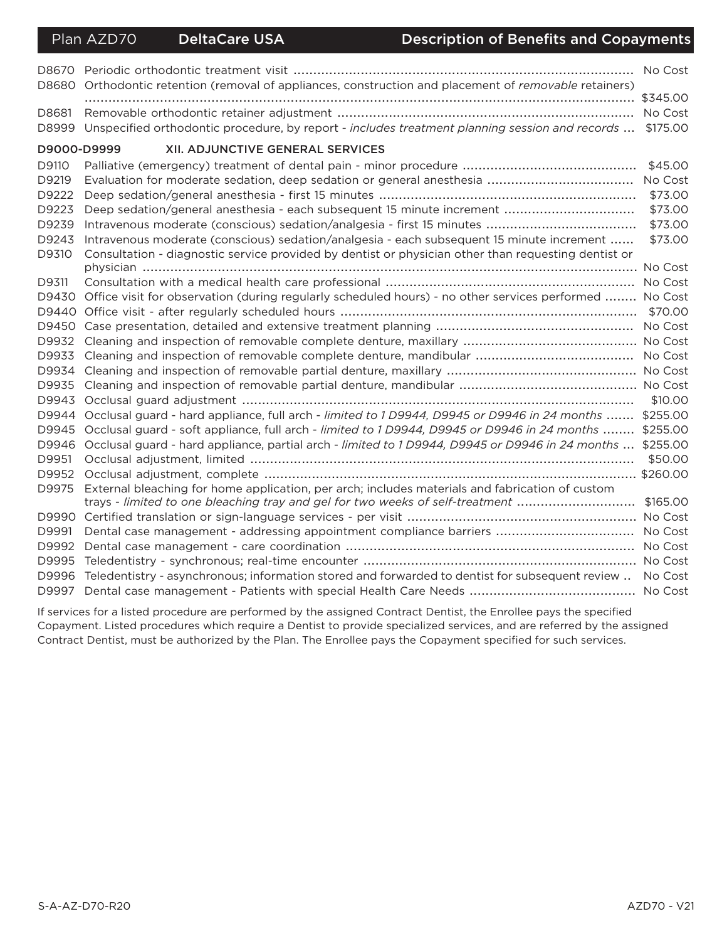Plan AZD70

### **Description of Benefits and Copayments**

| D8680       | Orthodontic retention (removal of appliances, construction and placement of removable retainers)       |          |
|-------------|--------------------------------------------------------------------------------------------------------|----------|
|             |                                                                                                        | \$345.00 |
| D8681       |                                                                                                        | No Cost  |
| D8999       | Unspecified orthodontic procedure, by report - includes treatment planning session and records         | \$175.00 |
| D9000-D9999 | XII. ADJUNCTIVE GENERAL SERVICES                                                                       |          |
| D9110       |                                                                                                        | \$45.00  |
| D9219       |                                                                                                        |          |
| D9222       |                                                                                                        | \$73.00  |
| D9223       |                                                                                                        | \$73.00  |
| D9239       |                                                                                                        | \$73.00  |
| D9243       | Intravenous moderate (conscious) sedation/analgesia - each subsequent 15 minute increment              | \$73.00  |
| D9310       | Consultation - diagnostic service provided by dentist or physician other than requesting dentist or    |          |
|             |                                                                                                        |          |
| D9311       |                                                                                                        | No Cost  |
| D9430       | Office visit for observation (during regularly scheduled hours) - no other services performed  No Cost |          |
|             |                                                                                                        | \$70.00  |
|             |                                                                                                        |          |
| D9932       |                                                                                                        |          |
| D9933       |                                                                                                        |          |
| D9934       |                                                                                                        |          |
| D9935       |                                                                                                        |          |
| D9943       |                                                                                                        | \$10.00  |
|             | D9944 Occlusal guard - hard appliance, full arch - limited to 1 D9944, D9945 or D9946 in 24 months     | \$255.00 |
| D9945       | Occlusal guard - soft appliance, full arch - limited to 1 D9944, D9945 or D9946 in 24 months           | \$255.00 |
|             | D9946 Occlusal guard - hard appliance, partial arch - limited to 1 D9944, D9945 or D9946 in 24 months  | \$255.00 |
| D9951       |                                                                                                        | \$50.00  |
| D9952       |                                                                                                        | \$260.00 |
| D9975       | External bleaching for home application, per arch; includes materials and fabrication of custom        |          |
|             | trays - limited to one bleaching tray and gel for two weeks of self-treatment                          | \$165.00 |
|             |                                                                                                        |          |
| D9991       | Dental case management - addressing appointment compliance barriers  No Cost                           |          |
| D9992       |                                                                                                        |          |
| D9995       |                                                                                                        |          |
| D9996       | Teledentistry - asynchronous; information stored and forwarded to dentist for subsequent review        | No Cost  |
| D9997       |                                                                                                        |          |

If services for a listed procedure are performed by the assigned Contract Dentist, the Enrollee pays the specified Copayment. Listed procedures which require a Dentist to provide specialized services, and are referred by the assigned Contract Dentist, must be authorized by the Plan. The Enrollee pays the Copayment specified for such services.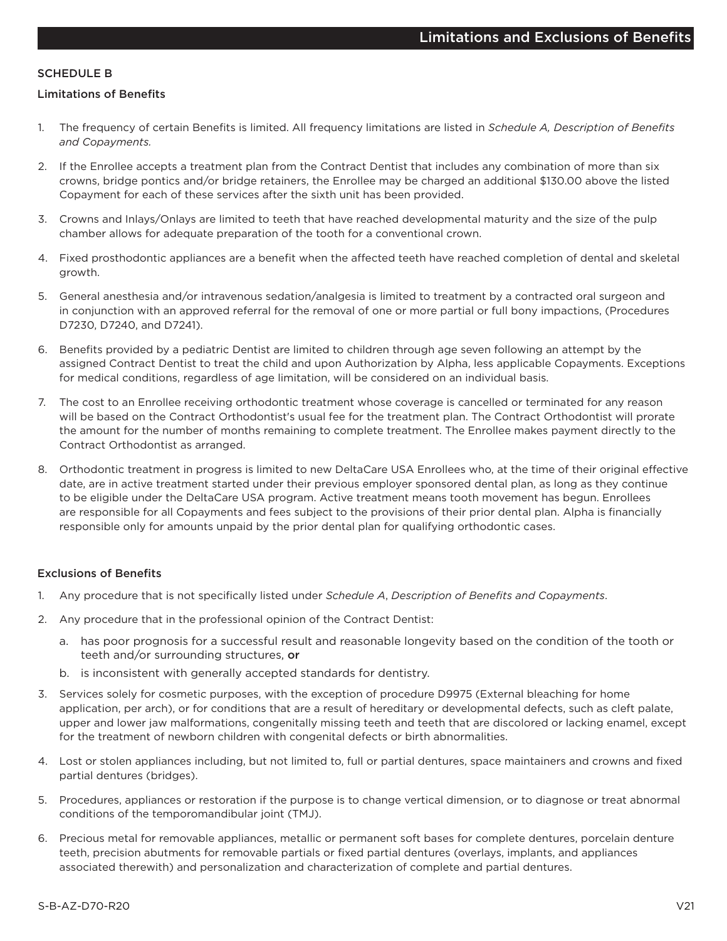#### **SCHEDULE B**

#### **Limitations of Benefits**

- $1<sup>1</sup>$ The frequency of certain Benefits is limited. All frequency limitations are listed in Schedule A, Description of Benefits and Copayments.
- 2. If the Enrollee accepts a treatment plan from the Contract Dentist that includes any combination of more than six crowns, bridge pontics and/or bridge retainers, the Enrollee may be charged an additional \$130.00 above the listed Copayment for each of these services after the sixth unit has been provided.
- 3. Crowns and Inlays/Onlays are limited to teeth that have reached developmental maturity and the size of the pulp chamber allows for adequate preparation of the tooth for a conventional crown.
- 4. Fixed prosthodontic appliances are a benefit when the affected teeth have reached completion of dental and skeletal growth.
- 5. General anesthesia and/or intravenous sedation/analgesia is limited to treatment by a contracted oral surgeon and in conjunction with an approved referral for the removal of one or more partial or full bony impactions, (Procedures D7230, D7240, and D7241).
- 6. Benefits provided by a pediatric Dentist are limited to children through age seven following an attempt by the assigned Contract Dentist to treat the child and upon Authorization by Alpha, less applicable Copayments. Exceptions for medical conditions, regardless of age limitation, will be considered on an individual basis.
- $7<sub>1</sub>$ The cost to an Enrollee receiving orthodontic treatment whose coverage is cancelled or terminated for any reason will be based on the Contract Orthodontist's usual fee for the treatment plan. The Contract Orthodontist will prorate the amount for the number of months remaining to complete treatment. The Enrollee makes payment directly to the Contract Orthodontist as arranged.
- 8. Orthodontic treatment in progress is limited to new DeltaCare USA Enrollees who, at the time of their original effective date, are in active treatment started under their previous employer sponsored dental plan, as long as they continue to be eligible under the DeltaCare USA program. Active treatment means tooth movement has begun. Enrollees are responsible for all Copayments and fees subject to the provisions of their prior dental plan. Alpha is financially responsible only for amounts unpaid by the prior dental plan for qualifying orthodontic cases.

#### **Exclusions of Benefits**

- $1<sup>1</sup>$ Any procedure that is not specifically listed under Schedule A, Description of Benefits and Copayments.
- 2. Any procedure that in the professional opinion of the Contract Dentist:
	- a. has poor prognosis for a successful result and reasonable longevity based on the condition of the tooth or teeth and/or surrounding structures, or
	- b. is inconsistent with generally accepted standards for dentistry.
- 3. Services solely for cosmetic purposes, with the exception of procedure D9975 (External bleaching for home application, per arch), or for conditions that are a result of hereditary or developmental defects, such as cleft palate, upper and lower jaw malformations, congenitally missing teeth and teeth that are discolored or lacking enamel, except for the treatment of newborn children with congenital defects or birth abnormalities.
- 4. Lost or stolen appliances including, but not limited to, full or partial dentures, space maintainers and crowns and fixed partial dentures (bridges).
- 5. Procedures, appliances or restoration if the purpose is to change vertical dimension, or to diagnose or treat abnormal conditions of the temporomandibular joint (TMJ).
- 6. Precious metal for removable appliances, metallic or permanent soft bases for complete dentures, porcelain denture teeth, precision abutments for removable partials or fixed partial dentures (overlays, implants, and appliances associated therewith) and personalization and characterization of complete and partial dentures.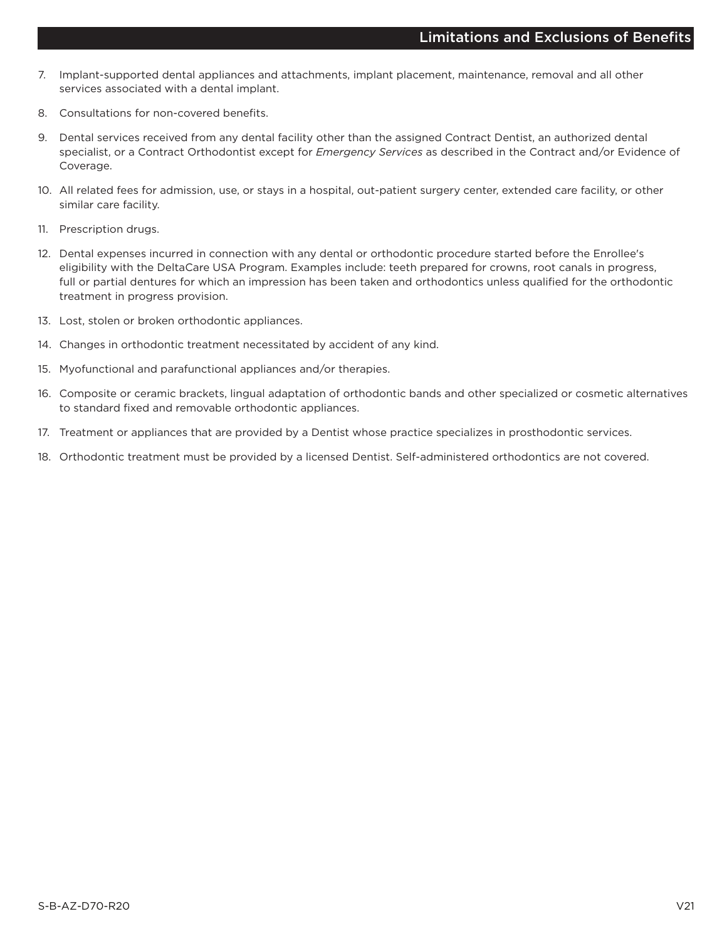- 7. Implant-supported dental appliances and attachments, implant placement, maintenance, removal and all other services associated with a dental implant.
- Consultations for non-covered benefits.  $\mathsf{R}$
- 9. Dental services received from any dental facility other than the assigned Contract Dentist, an authorized dental specialist, or a Contract Orthodontist except for Emergency Services as described in the Contract and/or Evidence of Coverage.
- 10. All related fees for admission, use, or stays in a hospital, out-patient surgery center, extended care facility, or other similar care facility.
- 11. Prescription drugs.
- 12. Dental expenses incurred in connection with any dental or orthodontic procedure started before the Enrollee's eligibility with the DeltaCare USA Program. Examples include: teeth prepared for crowns, root canals in progress, full or partial dentures for which an impression has been taken and orthodontics unless qualified for the orthodontic treatment in progress provision.
- 13. Lost, stolen or broken orthodontic appliances.
- 14. Changes in orthodontic treatment necessitated by accident of any kind.
- 15. Myofunctional and parafunctional appliances and/or therapies.
- 16. Composite or ceramic brackets, lingual adaptation of orthodontic bands and other specialized or cosmetic alternatives to standard fixed and removable orthodontic appliances.
- 17. Treatment or appliances that are provided by a Dentist whose practice specializes in prosthodontic services.
- 18. Orthodontic treatment must be provided by a licensed Dentist. Self-administered orthodontics are not covered.